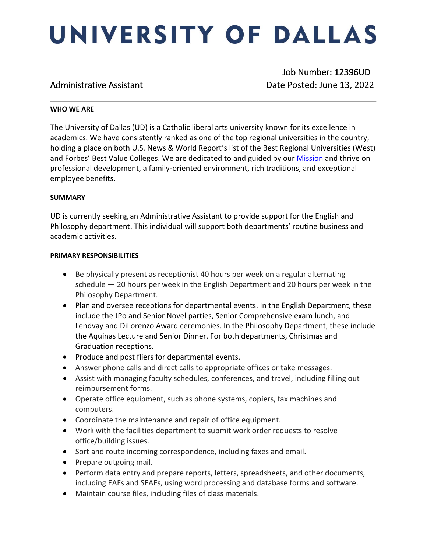# UNIVERSITY OF DALLAS

 Job Number: 12396UD Administrative Assistant data and Date Posted: June 13, 2022

### **WHO WE ARE**

The University of Dallas (UD) is a Catholic liberal arts university known for its excellence in academics. We have consistently ranked as one of the top regional universities in the country, holding a place on both U.S. News & World Report's list of the Best Regional Universities (West) and Forbes' Best Value Colleges. We are dedicated to and guided by our [Mission](https://www.udallas.edu/about/mission.php) and thrive on professional development, a family-oriented environment, rich traditions, and exceptional employee benefits.

# **SUMMARY**

UD is currently seeking an Administrative Assistant to provide support for the English and Philosophy department. This individual will support both departments' routine business and academic activities.

### **PRIMARY RESPONSIBILITIES**

- Be physically present as receptionist 40 hours per week on a regular alternating schedule — 20 hours per week in the English Department and 20 hours per week in the Philosophy Department.
- Plan and oversee receptions for departmental events. In the English Department, these include the JPo and Senior Novel parties, Senior Comprehensive exam lunch, and Lendvay and DiLorenzo Award ceremonies. In the Philosophy Department, these include the Aquinas Lecture and Senior Dinner. For both departments, Christmas and Graduation receptions.
- Produce and post fliers for departmental events.
- Answer phone calls and direct calls to appropriate offices or take messages.
- Assist with managing faculty schedules, conferences, and travel, including filling out reimbursement forms.
- Operate office equipment, such as phone systems, copiers, fax machines and computers.
- Coordinate the maintenance and repair of office equipment.
- Work with the facilities department to submit work order requests to resolve office/building issues.
- Sort and route incoming correspondence, including faxes and email.
- Prepare outgoing mail.
- Perform data entry and prepare reports, letters, spreadsheets, and other documents, including EAFs and SEAFs, using word processing and database forms and software.
- Maintain course files, including files of class materials.